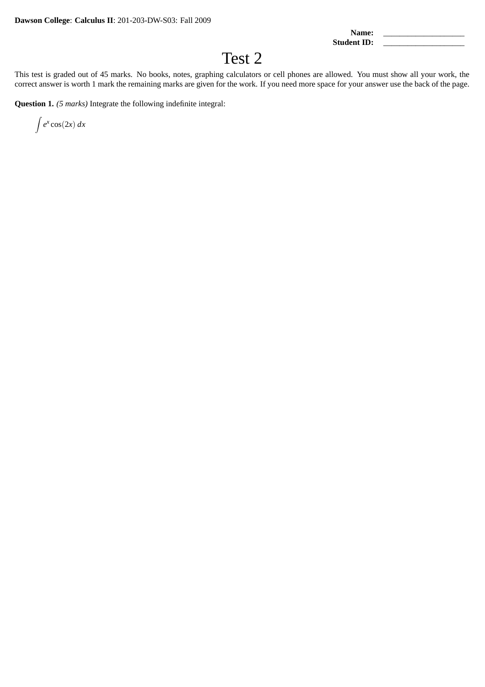Name: Student ID:

## Test 2

This test is graded out of 45 marks. No books, notes, graphing calculators or cell phones are allowed. You must show all your work, the correct answer is worth 1 mark the remaining marks are given for the work. If you need more space for your answer use the back of the page.

**Question 1.** *(5 marks)* Integrate the following indefinite integral:

 $\int e^x \cos(2x) dx$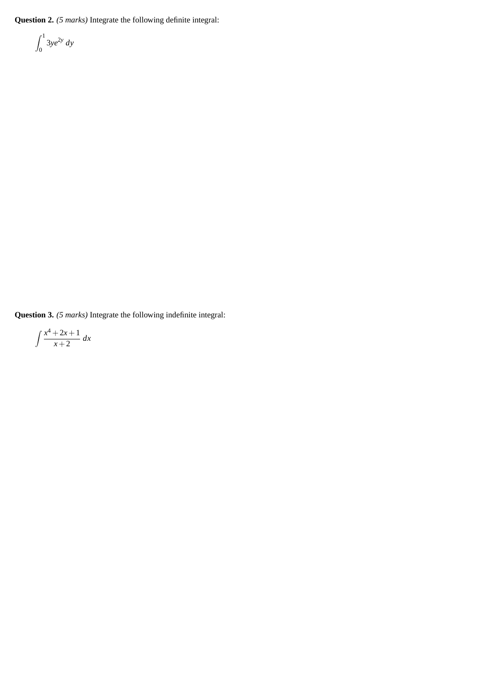**Question 2.** *(5 marks)* Integrate the following definite integral:

$$
\int_0^1 3ye^{2y} dy
$$

**Question 3.** *(5 marks)* Integrate the following indefinite integral:

$$
\int \frac{x^4 + 2x + 1}{x + 2} \, dx
$$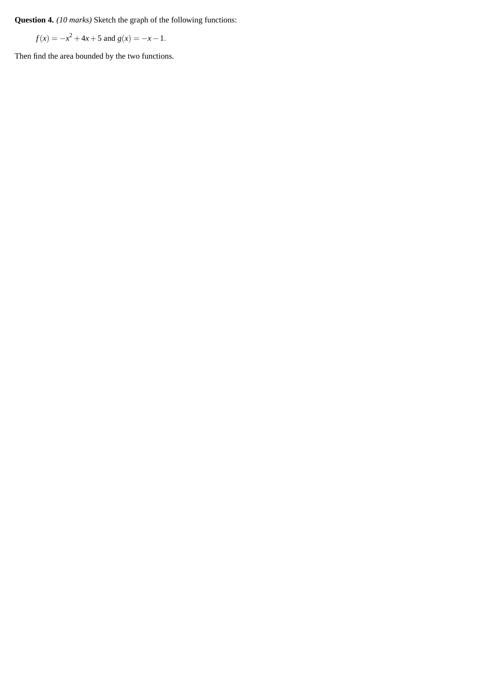**Question 4.** *(10 marks)* Sketch the graph of the following functions:

 $f(x) = -x^2 + 4x + 5$  and  $g(x) = -x - 1$ .

Then find the area bounded by the two functions.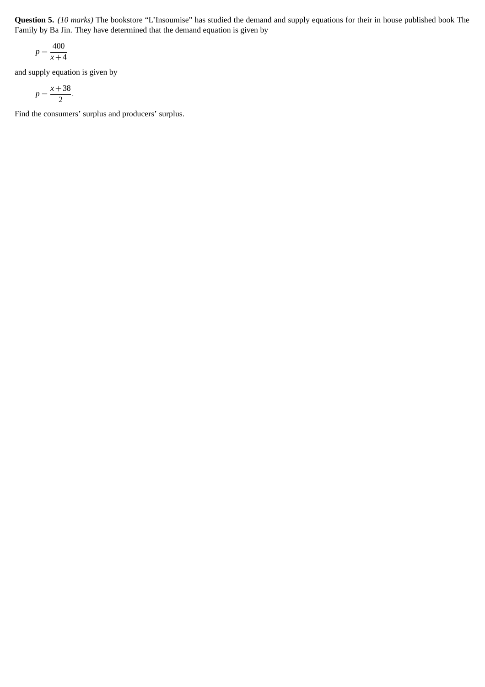**Question 5.** *(10 marks)* The bookstore "L'Insoumise" has studied the demand and supply equations for their in house published book The Family by Ba Jin. They have determined that the demand equation is given by

$$
p = \frac{400}{x+4}
$$

and supply equation is given by

$$
p=\frac{x+38}{2}.
$$

Find the consumers' surplus and producers' surplus.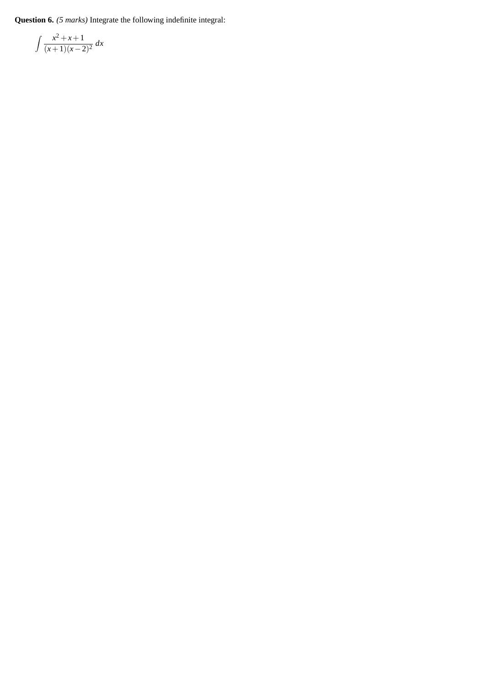**Question 6.** *(5 marks)* Integrate the following indefinite integral:

$$
\int \frac{x^2 + x + 1}{(x+1)(x-2)^2} \, dx
$$